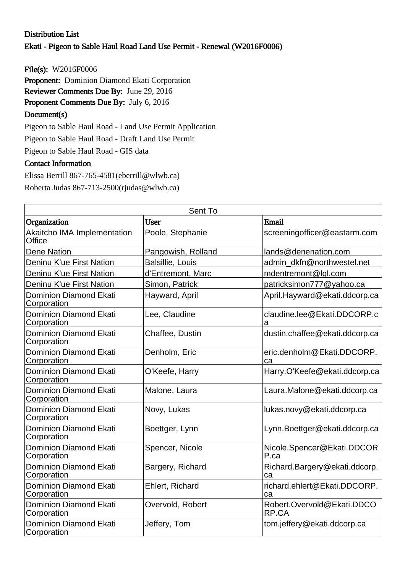## Distribution List Ekati - Pigeon to Sable Haul Road Land Use Permit - Renewal (W2016F0006)

File(s): W2016F0006

Proponent: Dominion Diamond Ekati Corporation

Reviewer Comments Due By: June 29, 2016

Proponent Comments Due By: July 6, 2016

## Document(s)

Pigeon to Sable Haul Road - Land Use Permit Application

Pigeon to Sable Haul Road - Draft Land Use Permit

Pigeon to Sable Haul Road - GIS data

## Contact Information

Elissa Berrill 867-765-4581(eberrill@wlwb.ca) Roberta Judas 867-713-2500(rjudas@wlwb.ca)

| Sent To                                      |                         |                                     |  |  |
|----------------------------------------------|-------------------------|-------------------------------------|--|--|
| Organization                                 | User                    | Email                               |  |  |
| Akaitcho IMA Implementation<br>Office        | Poole, Stephanie        | screeningofficer@eastarm.com        |  |  |
| <b>Dene Nation</b>                           | Pangowish, Rolland      | lands@denenation.com                |  |  |
| Deninu K'ue First Nation                     | <b>Balsillie, Louis</b> | admin dkfn@northwestel.net          |  |  |
| Deninu K'ue First Nation                     | d'Entremont, Marc       | mdentremont@lgl.com                 |  |  |
| Deninu K'ue First Nation                     | Simon, Patrick          | patricksimon777@yahoo.ca            |  |  |
| <b>Dominion Diamond Ekati</b><br>Corporation | Hayward, April          | April.Hayward@ekati.ddcorp.ca       |  |  |
| <b>Dominion Diamond Ekati</b><br>Corporation | Lee, Claudine           | claudine.lee@Ekati.DDCORP.c<br>a    |  |  |
| <b>Dominion Diamond Ekati</b><br>Corporation | Chaffee, Dustin         | dustin.chaffee@ekati.ddcorp.ca      |  |  |
| <b>Dominion Diamond Ekati</b><br>Corporation | Denholm, Eric           | eric.denholm@Ekati.DDCORP.<br>ca    |  |  |
| <b>Dominion Diamond Ekati</b><br>Corporation | O'Keefe, Harry          | Harry.O'Keefe@ekati.ddcorp.ca       |  |  |
| <b>Dominion Diamond Ekati</b><br>Corporation | Malone, Laura           | Laura.Malone@ekati.ddcorp.ca        |  |  |
| <b>Dominion Diamond Ekati</b><br>Corporation | Novy, Lukas             | lukas.novy@ekati.ddcorp.ca          |  |  |
| <b>Dominion Diamond Ekati</b><br>Corporation | Boettger, Lynn          | Lynn.Boettger@ekati.ddcorp.ca       |  |  |
| <b>Dominion Diamond Ekati</b><br>Corporation | Spencer, Nicole         | Nicole.Spencer@Ekati.DDCOR<br>P.ca  |  |  |
| <b>Dominion Diamond Ekati</b><br>Corporation | Bargery, Richard        | Richard.Bargery@ekati.ddcorp.<br>ca |  |  |
| <b>Dominion Diamond Ekati</b><br>Corporation | Ehlert, Richard         | richard.ehlert@Ekati.DDCORP.<br>ca  |  |  |
| <b>Dominion Diamond Ekati</b><br>Corporation | Overvold, Robert        | Robert.Overvold@Ekati.DDCO<br>RP.CA |  |  |
| <b>Dominion Diamond Ekati</b><br>Corporation | Jeffery, Tom            | tom.jeffery@ekati.ddcorp.ca         |  |  |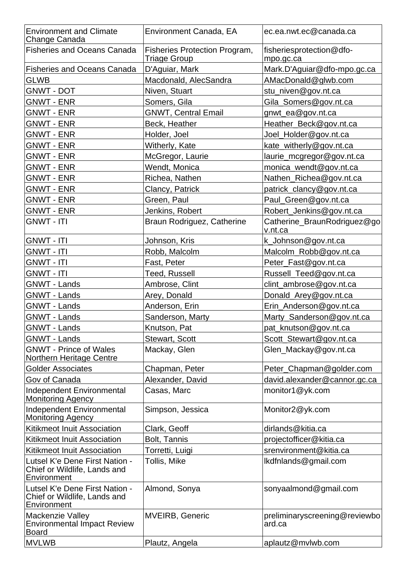| <b>Environment and Climate</b><br>Change Canada                               | Environment Canada, EA                                      | ec.ea.nwt.ec@canada.ca                  |
|-------------------------------------------------------------------------------|-------------------------------------------------------------|-----------------------------------------|
| <b>Fisheries and Oceans Canada</b>                                            | <b>Fisheries Protection Program,</b><br><b>Triage Group</b> | fisheriesprotection@dfo-<br>mpo.gc.ca   |
| <b>Fisheries and Oceans Canada</b>                                            | D'Aguiar, Mark                                              | Mark.D'Aguiar@dfo-mpo.gc.ca             |
| <b>GLWB</b>                                                                   | Macdonald, AlecSandra                                       | AMacDonald@glwb.com                     |
| <b>GNWT - DOT</b>                                                             | Niven, Stuart                                               | stu_niven@gov.nt.ca                     |
| <b>GNWT - ENR</b>                                                             | Somers, Gila                                                | Gila_Somers@gov.nt.ca                   |
| <b>GNWT - ENR</b>                                                             | <b>GNWT, Central Email</b>                                  | gnwt_ea@gov.nt.ca                       |
| <b>GNWT - ENR</b>                                                             | Beck, Heather                                               | Heather_Beck@gov.nt.ca                  |
| <b>GNWT - ENR</b>                                                             | Holder, Joel                                                | Joel_Holder@gov.nt.ca                   |
| <b>GNWT - ENR</b>                                                             | Witherly, Kate                                              | kate_witherly@gov.nt.ca                 |
| <b>GNWT - ENR</b>                                                             | McGregor, Laurie                                            | laurie_mcgregor@gov.nt.ca               |
| <b>GNWT - ENR</b>                                                             | Wendt, Monica                                               | monica_wendt@gov.nt.ca                  |
| <b>GNWT - ENR</b>                                                             | Richea, Nathen                                              | Nathen_Richea@gov.nt.ca                 |
| <b>GNWT - ENR</b>                                                             | Clancy, Patrick                                             | patrick_clancy@gov.nt.ca                |
| <b>GNWT - ENR</b>                                                             | Green, Paul                                                 | Paul_Green@gov.nt.ca                    |
| <b>GNWT - ENR</b>                                                             | Jenkins, Robert                                             | Robert_Jenkins@gov.nt.ca                |
| <b>GNWT - ITI</b>                                                             | Braun Rodriguez, Catherine                                  | Catherine_BraunRodriguez@go<br>v.nt.ca  |
| <b>GNWT - ITI</b>                                                             | Johnson, Kris                                               | k_Johnson@gov.nt.ca                     |
| <b>GNWT - ITI</b>                                                             | Robb, Malcolm                                               | Malcolm_Robb@gov.nt.ca                  |
| <b>GNWT - ITI</b>                                                             | Fast, Peter                                                 | Peter_Fast@gov.nt.ca                    |
| <b>GNWT - ITI</b>                                                             | Teed, Russell                                               | Russell_Teed@gov.nt.ca                  |
| <b>GNWT - Lands</b>                                                           | Ambrose, Clint                                              | clint_ambrose@gov.nt.ca                 |
| <b>GNWT - Lands</b>                                                           | Arey, Donald                                                | Donald_Arey@gov.nt.ca                   |
| <b>GNWT - Lands</b>                                                           | Anderson, Erin                                              | Erin_Anderson@gov.nt.ca                 |
| <b>GNWT - Lands</b>                                                           | Sanderson, Marty                                            | Marty_Sanderson@gov.nt.ca               |
| <b>GNWT - Lands</b>                                                           | Knutson, Pat                                                | pat_knutson@gov.nt.ca                   |
| <b>GNWT - Lands</b>                                                           | Stewart, Scott                                              | Scott_Stewart@gov.nt.ca                 |
| <b>GNWT - Prince of Wales</b><br><b>Northern Heritage Centre</b>              | Mackay, Glen                                                | Glen_Mackay@gov.nt.ca                   |
| <b>Golder Associates</b>                                                      | Chapman, Peter                                              | Peter_Chapman@golder.com                |
| Gov of Canada                                                                 | Alexander, David                                            | david.alexander@cannor.gc.ca            |
| Independent Environmental<br><b>Monitoring Agency</b>                         | Casas, Marc                                                 | monitor1@yk.com                         |
| Independent Environmental<br><b>Monitoring Agency</b>                         | Simpson, Jessica                                            | Monitor2@yk.com                         |
| <b>Kitikmeot Inuit Association</b>                                            | Clark, Geoff                                                | dirlands@kitia.ca                       |
| <b>Kitikmeot Inuit Association</b>                                            | Bolt, Tannis                                                | projectofficer@kitia.ca                 |
| <b>Kitikmeot Inuit Association</b>                                            | Torretti, Luigi                                             | srenvironment@kitia.ca                  |
| Lutsel K'e Dene First Nation -<br>Chief or Wildlife, Lands and<br>Environment | Tollis, Mike                                                | lkdfnlands@gmail.com                    |
| Lutsel K'e Dene First Nation -<br>Chief or Wildlife, Lands and<br>Environment | Almond, Sonya                                               | sonyaalmond@gmail.com                   |
| Mackenzie Valley<br><b>Environmental Impact Review</b><br><b>Board</b>        | <b>MVEIRB, Generic</b>                                      | preliminaryscreening@reviewbo<br>ard.ca |
| <b>MVLWB</b>                                                                  | Plautz, Angela                                              | aplautz@mvlwb.com                       |